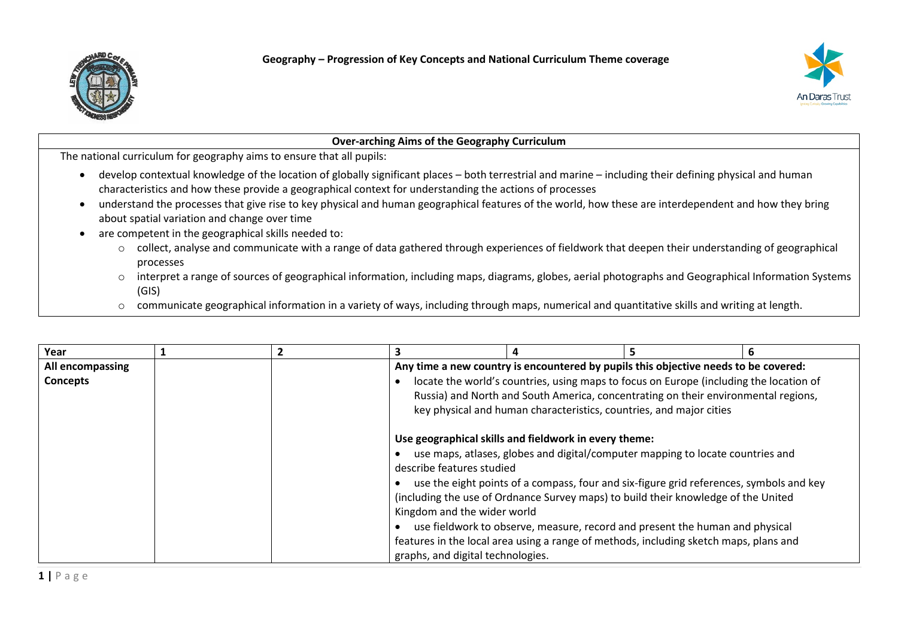



| <b>Over-arching Aims of the Geography Curriculum</b> |                                                                                                                                                                                                                                                                                                                                                                                                                                                                                                                                                                                                                                                                                                                                                                                                                                                                                                                                                                                                                   |              |                                                                                                                                                                                                                                                                                                                                                         |   |    |   |  |
|------------------------------------------------------|-------------------------------------------------------------------------------------------------------------------------------------------------------------------------------------------------------------------------------------------------------------------------------------------------------------------------------------------------------------------------------------------------------------------------------------------------------------------------------------------------------------------------------------------------------------------------------------------------------------------------------------------------------------------------------------------------------------------------------------------------------------------------------------------------------------------------------------------------------------------------------------------------------------------------------------------------------------------------------------------------------------------|--------------|---------------------------------------------------------------------------------------------------------------------------------------------------------------------------------------------------------------------------------------------------------------------------------------------------------------------------------------------------------|---|----|---|--|
|                                                      | The national curriculum for geography aims to ensure that all pupils:                                                                                                                                                                                                                                                                                                                                                                                                                                                                                                                                                                                                                                                                                                                                                                                                                                                                                                                                             |              |                                                                                                                                                                                                                                                                                                                                                         |   |    |   |  |
| $\circ$<br>$\circ$<br>$\circ$                        | develop contextual knowledge of the location of globally significant places – both terrestrial and marine – including their defining physical and human<br>characteristics and how these provide a geographical context for understanding the actions of processes<br>understand the processes that give rise to key physical and human geographical features of the world, how these are interdependent and how they bring<br>about spatial variation and change over time<br>are competent in the geographical skills needed to:<br>collect, analyse and communicate with a range of data gathered through experiences of fieldwork that deepen their understanding of geographical<br>processes<br>interpret a range of sources of geographical information, including maps, diagrams, globes, aerial photographs and Geographical Information Systems<br>(GIS)<br>communicate geographical information in a variety of ways, including through maps, numerical and quantitative skills and writing at length. |              |                                                                                                                                                                                                                                                                                                                                                         |   |    |   |  |
| Year                                                 |                                                                                                                                                                                                                                                                                                                                                                                                                                                                                                                                                                                                                                                                                                                                                                                                                                                                                                                                                                                                                   | $\mathbf{2}$ | 3                                                                                                                                                                                                                                                                                                                                                       | 4 | 5. | 6 |  |
| All encompassing<br><b>Concepts</b>                  |                                                                                                                                                                                                                                                                                                                                                                                                                                                                                                                                                                                                                                                                                                                                                                                                                                                                                                                                                                                                                   |              | Any time a new country is encountered by pupils this objective needs to be covered:<br>locate the world's countries, using maps to focus on Europe (including the location of<br>$\bullet$<br>Russia) and North and South America, concentrating on their environmental regions,<br>key physical and human characteristics, countries, and major cities |   |    |   |  |

| graphs, and digital technologies. |
|-----------------------------------|
|-----------------------------------|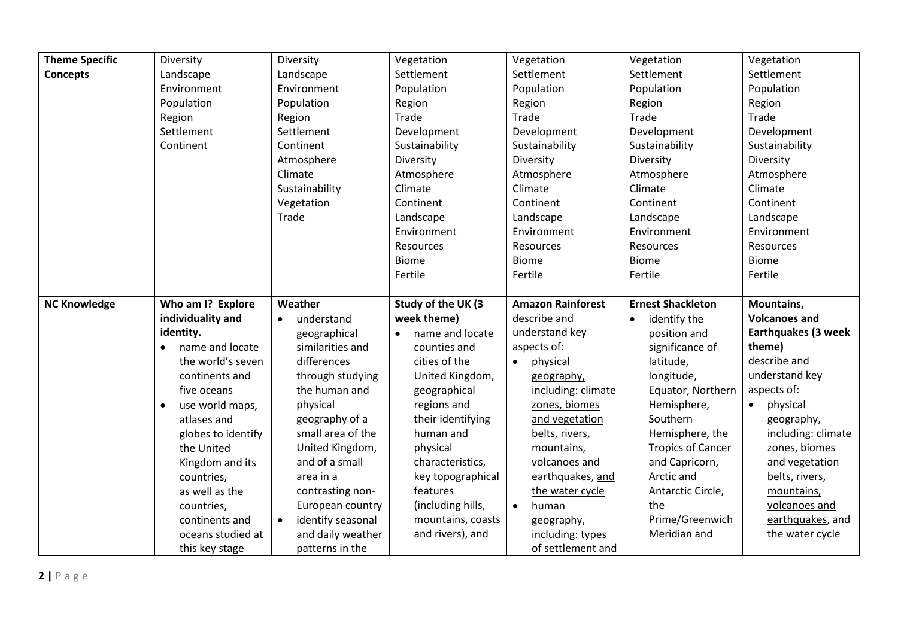| <b>Theme Specific</b> | Diversity                    | Diversity                      | Vegetation                   | Vegetation               | Vegetation                | Vegetation                 |
|-----------------------|------------------------------|--------------------------------|------------------------------|--------------------------|---------------------------|----------------------------|
| <b>Concepts</b>       | Landscape                    | Landscape                      | Settlement                   | Settlement               | Settlement                | Settlement                 |
|                       | Environment                  | Environment                    | Population                   | Population               | Population                | Population                 |
|                       | Population                   | Population                     | Region                       | Region                   | Region                    | Region                     |
|                       | Region                       | Region                         | Trade                        | Trade                    | Trade                     | Trade                      |
|                       | Settlement                   | Settlement                     | Development                  | Development              | Development               | Development                |
|                       | Continent                    | Continent                      | Sustainability               | Sustainability           | Sustainability            | Sustainability             |
|                       |                              | Atmosphere                     | Diversity                    | Diversity                | Diversity                 | Diversity                  |
|                       |                              | Climate                        | Atmosphere                   | Atmosphere               | Atmosphere                | Atmosphere                 |
|                       |                              | Sustainability                 | Climate                      | Climate                  | Climate                   | Climate                    |
|                       |                              | Vegetation                     | Continent                    | Continent                | Continent                 | Continent                  |
|                       |                              | Trade                          | Landscape                    | Landscape                | Landscape                 | Landscape                  |
|                       |                              |                                | Environment                  | Environment              | Environment               | Environment                |
|                       |                              |                                | Resources                    | <b>Resources</b>         | Resources                 | Resources                  |
|                       |                              |                                | <b>Biome</b>                 | <b>Biome</b>             | <b>Biome</b>              | <b>Biome</b>               |
|                       |                              |                                | Fertile                      | Fertile                  | Fertile                   | Fertile                    |
|                       |                              |                                |                              |                          |                           |                            |
| <b>NC Knowledge</b>   | Who am I? Explore            | Weather                        | Study of the UK (3           | <b>Amazon Rainforest</b> | <b>Ernest Shackleton</b>  | Mountains,                 |
|                       | individuality and            | understand<br>$\bullet$        | week theme)                  | describe and             | identify the<br>$\bullet$ | <b>Volcanoes and</b>       |
|                       | identity.                    | geographical                   | name and locate<br>$\bullet$ | understand key           | position and              | <b>Earthquakes (3 week</b> |
|                       | name and locate<br>$\bullet$ | similarities and               | counties and                 | aspects of:              | significance of           | theme)                     |
|                       | the world's seven            | differences                    | cities of the                | physical<br>$\bullet$    | latitude,                 | describe and               |
|                       | continents and               | through studying               | United Kingdom,              | geography,               | longitude,                | understand key             |
|                       | five oceans                  | the human and                  | geographical                 | including: climate       | Equator, Northern         | aspects of:                |
|                       | use world maps,              | physical                       | regions and                  | zones, biomes            | Hemisphere,               | physical<br>$\bullet$      |
|                       | atlases and                  | geography of a                 | their identifying            | and vegetation           | Southern                  | geography,                 |
|                       | globes to identify           | small area of the              | human and                    | belts, rivers,           | Hemisphere, the           | including: climate         |
|                       | the United                   | United Kingdom,                | physical                     | mountains,               | <b>Tropics of Cancer</b>  | zones, biomes              |
|                       | Kingdom and its              | and of a small                 | characteristics,             | volcanoes and            | and Capricorn,            | and vegetation             |
|                       | countries,                   | area in a                      | key topographical            | earthquakes, and         | Arctic and                | belts, rivers,             |
|                       | as well as the               | contrasting non-               | features                     | the water cycle          | Antarctic Circle,         | mountains,                 |
|                       | countries,                   | European country               | (including hills,            | $\bullet$<br>human       | the                       | volcanoes and              |
|                       | continents and               | identify seasonal<br>$\bullet$ | mountains, coasts            | geography,               | Prime/Greenwich           | earthquakes, and           |
|                       | oceans studied at            | and daily weather              | and rivers), and             | including: types         | Meridian and              | the water cycle            |
|                       | this key stage               | patterns in the                |                              | of settlement and        |                           |                            |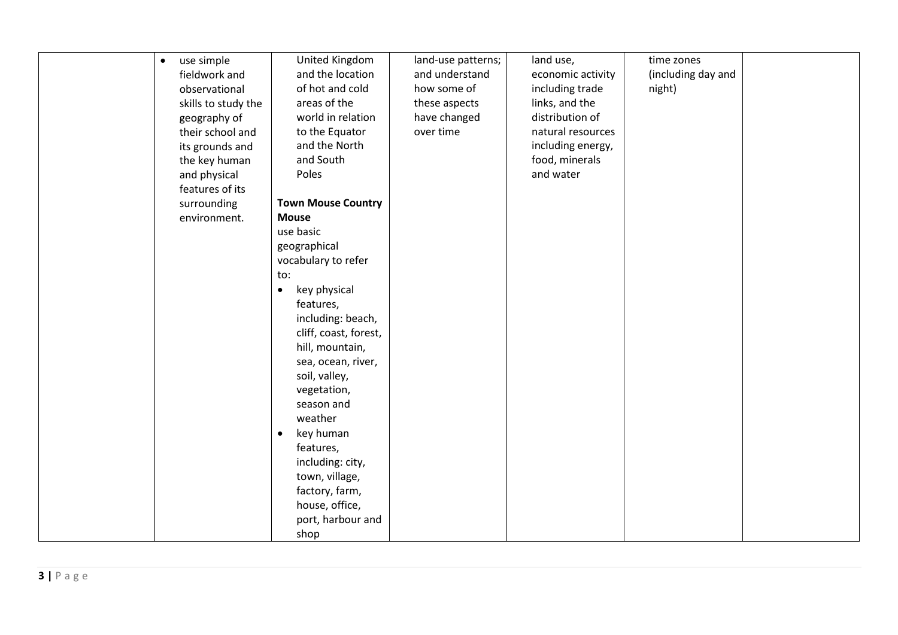| $\bullet$ | use simple          | <b>United Kingdom</b>     | land-use patterns; | land use,         | time zones         |  |
|-----------|---------------------|---------------------------|--------------------|-------------------|--------------------|--|
|           |                     | and the location          | and understand     | economic activity | (including day and |  |
|           | fieldwork and       |                           |                    |                   |                    |  |
|           | observational       | of hot and cold           | how some of        | including trade   | night)             |  |
|           | skills to study the | areas of the              | these aspects      | links, and the    |                    |  |
|           | geography of        | world in relation         | have changed       | distribution of   |                    |  |
|           | their school and    | to the Equator            | over time          | natural resources |                    |  |
|           | its grounds and     | and the North             |                    | including energy, |                    |  |
|           | the key human       | and South                 |                    | food, minerals    |                    |  |
|           | and physical        | Poles                     |                    | and water         |                    |  |
|           | features of its     |                           |                    |                   |                    |  |
|           | surrounding         | <b>Town Mouse Country</b> |                    |                   |                    |  |
|           | environment.        | <b>Mouse</b>              |                    |                   |                    |  |
|           |                     | use basic                 |                    |                   |                    |  |
|           |                     | geographical              |                    |                   |                    |  |
|           |                     | vocabulary to refer       |                    |                   |                    |  |
|           |                     | to:                       |                    |                   |                    |  |
|           |                     | key physical<br>$\bullet$ |                    |                   |                    |  |
|           |                     | features,                 |                    |                   |                    |  |
|           |                     | including: beach,         |                    |                   |                    |  |
|           |                     | cliff, coast, forest,     |                    |                   |                    |  |
|           |                     | hill, mountain,           |                    |                   |                    |  |
|           |                     | sea, ocean, river,        |                    |                   |                    |  |
|           |                     | soil, valley,             |                    |                   |                    |  |
|           |                     | vegetation,               |                    |                   |                    |  |
|           |                     | season and                |                    |                   |                    |  |
|           |                     | weather                   |                    |                   |                    |  |
|           |                     | key human<br>$\bullet$    |                    |                   |                    |  |
|           |                     | features,                 |                    |                   |                    |  |
|           |                     |                           |                    |                   |                    |  |
|           |                     | including: city,          |                    |                   |                    |  |
|           |                     | town, village,            |                    |                   |                    |  |
|           |                     | factory, farm,            |                    |                   |                    |  |
|           |                     | house, office,            |                    |                   |                    |  |
|           |                     | port, harbour and         |                    |                   |                    |  |
|           |                     | shop                      |                    |                   |                    |  |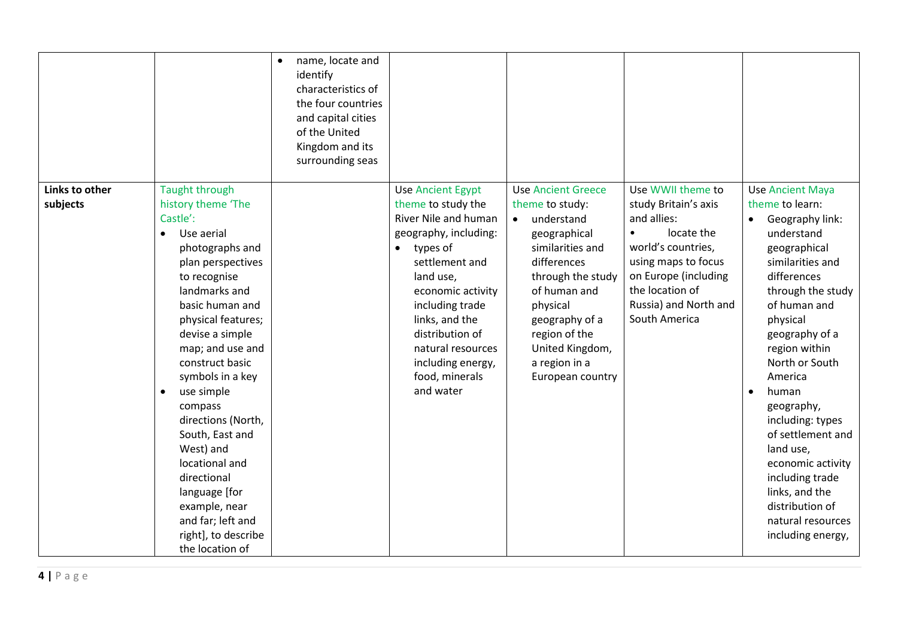|                            |                                                                                                                                                                                                                                                                                                                                                                                                                                                                                                                  | name, locate and<br>$\bullet$<br>identify<br>characteristics of<br>the four countries<br>and capital cities<br>of the United<br>Kingdom and its<br>surrounding seas |                                                                                                                                                                                                                                                                                                               |                                                                                                                                                                                                                                                                        |                                                                                                                                                                                                                       |                                                                                                                                                                                                                                                                                                                                                                                                                                                     |
|----------------------------|------------------------------------------------------------------------------------------------------------------------------------------------------------------------------------------------------------------------------------------------------------------------------------------------------------------------------------------------------------------------------------------------------------------------------------------------------------------------------------------------------------------|---------------------------------------------------------------------------------------------------------------------------------------------------------------------|---------------------------------------------------------------------------------------------------------------------------------------------------------------------------------------------------------------------------------------------------------------------------------------------------------------|------------------------------------------------------------------------------------------------------------------------------------------------------------------------------------------------------------------------------------------------------------------------|-----------------------------------------------------------------------------------------------------------------------------------------------------------------------------------------------------------------------|-----------------------------------------------------------------------------------------------------------------------------------------------------------------------------------------------------------------------------------------------------------------------------------------------------------------------------------------------------------------------------------------------------------------------------------------------------|
| Links to other<br>subjects | <b>Taught through</b><br>history theme 'The<br>Castle':<br>Use aerial<br>$\bullet$<br>photographs and<br>plan perspectives<br>to recognise<br>landmarks and<br>basic human and<br>physical features;<br>devise a simple<br>map; and use and<br>construct basic<br>symbols in a key<br>use simple<br>$\bullet$<br>compass<br>directions (North,<br>South, East and<br>West) and<br>locational and<br>directional<br>language [for<br>example, near<br>and far; left and<br>right], to describe<br>the location of |                                                                                                                                                                     | <b>Use Ancient Egypt</b><br>theme to study the<br>River Nile and human<br>geography, including:<br>types of<br>$\bullet$<br>settlement and<br>land use,<br>economic activity<br>including trade<br>links, and the<br>distribution of<br>natural resources<br>including energy,<br>food, minerals<br>and water | <b>Use Ancient Greece</b><br>theme to study:<br>understand<br>$\bullet$<br>geographical<br>similarities and<br>differences<br>through the study<br>of human and<br>physical<br>geography of a<br>region of the<br>United Kingdom,<br>a region in a<br>European country | Use WWII theme to<br>study Britain's axis<br>and allies:<br>locate the<br>$\bullet$<br>world's countries,<br>using maps to focus<br>on Europe (including<br>the location of<br>Russia) and North and<br>South America | <b>Use Ancient Maya</b><br>theme to learn:<br>Geography link:<br>understand<br>geographical<br>similarities and<br>differences<br>through the study<br>of human and<br>physical<br>geography of a<br>region within<br>North or South<br>America<br>human<br>geography,<br>including: types<br>of settlement and<br>land use,<br>economic activity<br>including trade<br>links, and the<br>distribution of<br>natural resources<br>including energy, |